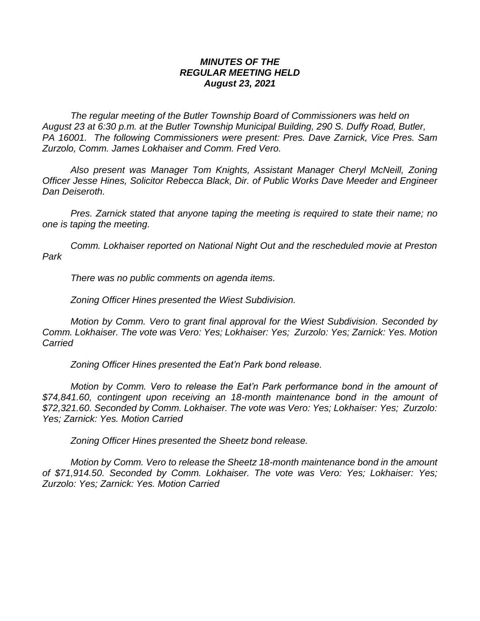## *MINUTES OF THE REGULAR MEETING HELD August 23, 2021*

*The regular meeting of the Butler Township Board of Commissioners was held on August 23 at 6:30 p.m. at the Butler Township Municipal Building, 290 S. Duffy Road, Butler, PA 16001. The following Commissioners were present: Pres. Dave Zarnick, Vice Pres. Sam Zurzolo, Comm. James Lokhaiser and Comm. Fred Vero.*

*Also present was Manager Tom Knights, Assistant Manager Cheryl McNeill, Zoning Officer Jesse Hines, Solicitor Rebecca Black, Dir. of Public Works Dave Meeder and Engineer Dan Deiseroth.*

*Pres. Zarnick stated that anyone taping the meeting is required to state their name; no one is taping the meeting.*

*Comm. Lokhaiser reported on National Night Out and the rescheduled movie at Preston Park*

*There was no public comments on agenda items.*

*Zoning Officer Hines presented the Wiest Subdivision.*

*Motion by Comm. Vero to grant final approval for the Wiest Subdivision. Seconded by Comm. Lokhaiser. The vote was Vero: Yes; Lokhaiser: Yes; Zurzolo: Yes; Zarnick: Yes. Motion Carried*

*Zoning Officer Hines presented the Eat'n Park bond release.* 

*Motion by Comm. Vero to release the Eat'n Park performance bond in the amount of \$74,841.60, contingent upon receiving an 18-month maintenance bond in the amount of \$72,321.60. Seconded by Comm. Lokhaiser. The vote was Vero: Yes; Lokhaiser: Yes; Zurzolo: Yes; Zarnick: Yes. Motion Carried*

*Zoning Officer Hines presented the Sheetz bond release.* 

*Motion by Comm. Vero to release the Sheetz 18-month maintenance bond in the amount of \$71,914.50. Seconded by Comm. Lokhaiser. The vote was Vero: Yes; Lokhaiser: Yes; Zurzolo: Yes; Zarnick: Yes. Motion Carried*